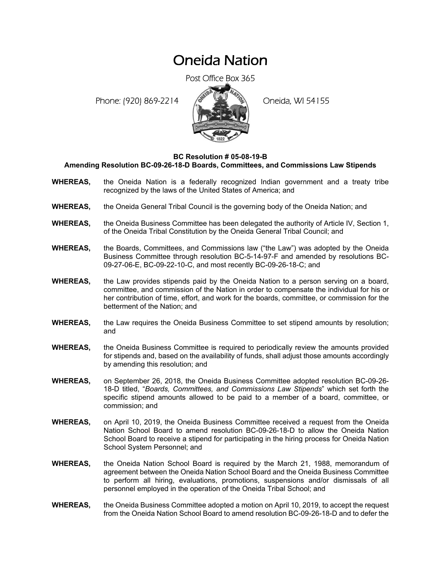## Oneida Nation

Post Office Box 365

Phone: (920) 869-2214 (8 22 3) Oneida, WI 54155



## **BC Resolution # 05-08-19-B**

**Amending Resolution BC-09-26-18-D Boards, Committees, and Commissions Law Stipends** 

- **WHEREAS,** the Oneida Nation is a federally recognized Indian government and a treaty tribe recognized by the laws of the United States of America; and
- **WHEREAS,** the Oneida General Tribal Council is the governing body of the Oneida Nation; and
- **WHEREAS,** the Oneida Business Committee has been delegated the authority of Article IV, Section 1, of the Oneida Tribal Constitution by the Oneida General Tribal Council; and
- **WHEREAS,** the Boards, Committees, and Commissions law ("the Law") was adopted by the Oneida Business Committee through resolution BC-5-14-97-F and amended by resolutions BC-09-27-06-E, BC-09-22-10-C, and most recently BC-09-26-18-C; and
- **WHEREAS,** the Law provides stipends paid by the Oneida Nation to a person serving on a board, committee, and commission of the Nation in order to compensate the individual for his or her contribution of time, effort, and work for the boards, committee, or commission for the betterment of the Nation; and
- **WHEREAS,** the Law requires the Oneida Business Committee to set stipend amounts by resolution; and
- **WHEREAS,** the Oneida Business Committee is required to periodically review the amounts provided for stipends and, based on the availability of funds, shall adjust those amounts accordingly by amending this resolution; and
- **WHEREAS,** on September 26, 2018, the Oneida Business Committee adopted resolution BC-09-26- 18-D titled, "*Boards, Committees, and Commissions Law Stipends*" which set forth the specific stipend amounts allowed to be paid to a member of a board, committee, or commission; and
- **WHEREAS,** on April 10, 2019, the Oneida Business Committee received a request from the Oneida Nation School Board to amend resolution BC-09-26-18-D to allow the Oneida Nation School Board to receive a stipend for participating in the hiring process for Oneida Nation School System Personnel; and
- **WHEREAS,** the Oneida Nation School Board is required by the March 21, 1988, memorandum of agreement between the Oneida Nation School Board and the Oneida Business Committee to perform all hiring, evaluations, promotions, suspensions and/or dismissals of all personnel employed in the operation of the Oneida Tribal School; and
- **WHEREAS,** the Oneida Business Committee adopted a motion on April 10, 2019, to accept the request from the Oneida Nation School Board to amend resolution BC-09-26-18-D and to defer the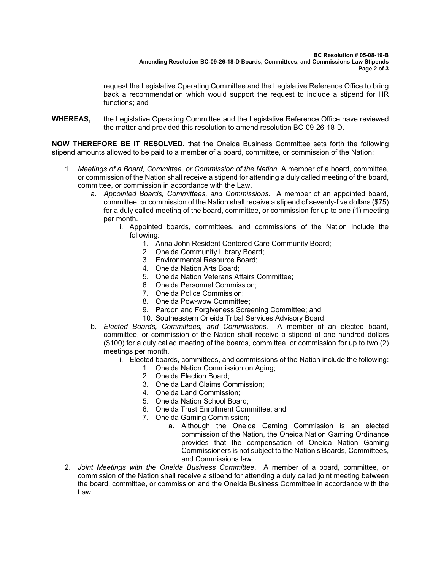request the Legislative Operating Committee and the Legislative Reference Office to bring back a recommendation which would support the request to include a stipend for HR functions; and

**WHEREAS,** the Legislative Operating Committee and the Legislative Reference Office have reviewed the matter and provided this resolution to amend resolution BC-09-26-18-D.

**NOW THEREFORE BE IT RESOLVED,** that the Oneida Business Committee sets forth the following stipend amounts allowed to be paid to a member of a board, committee, or commission of the Nation:

- 1. *Meetings of a Board, Committee, or Commission of the Nation*. A member of a board, committee, or commission of the Nation shall receive a stipend for attending a duly called meeting of the board, committee, or commission in accordance with the Law.
	- a. *Appointed Boards, Committees, and Commissions.* A member of an appointed board, committee, or commission of the Nation shall receive a stipend of seventy-five dollars (\$75) for a duly called meeting of the board, committee, or commission for up to one (1) meeting per month.
		- i. Appointed boards, committees, and commissions of the Nation include the following:
			- 1. Anna John Resident Centered Care Community Board;
			- 2. Oneida Community Library Board;
			- 3. Environmental Resource Board;
			- 4. Oneida Nation Arts Board;
			- 5. Oneida Nation Veterans Affairs Committee;
			- 6. Oneida Personnel Commission;
			- 7. Oneida Police Commission;
			- 8. Oneida Pow-wow Committee;
			- 9. Pardon and Forgiveness Screening Committee; and
			- 10. Southeastern Oneida Tribal Services Advisory Board.
	- b. *Elected Boards, Committees, and Commissions.* A member of an elected board, committee, or commission of the Nation shall receive a stipend of one hundred dollars (\$100) for a duly called meeting of the boards, committee, or commission for up to two (2) meetings per month.
		- i. Elected boards, committees, and commissions of the Nation include the following:
			- 1. Oneida Nation Commission on Aging;
			- 2. Oneida Election Board;
			- 3. Oneida Land Claims Commission;
			- 4. Oneida Land Commission;
			- 5. Oneida Nation School Board;
			- 6. Oneida Trust Enrollment Committee; and
			- 7. Oneida Gaming Commission;
				- a. Although the Oneida Gaming Commission is an elected commission of the Nation, the Oneida Nation Gaming Ordinance provides that the compensation of Oneida Nation Gaming Commissioners is not subject to the Nation's Boards, Committees, and Commissions law.
- 2. *Joint Meetings with the Oneida Business Committee*. A member of a board, committee, or commission of the Nation shall receive a stipend for attending a duly called joint meeting between the board, committee, or commission and the Oneida Business Committee in accordance with the Law.